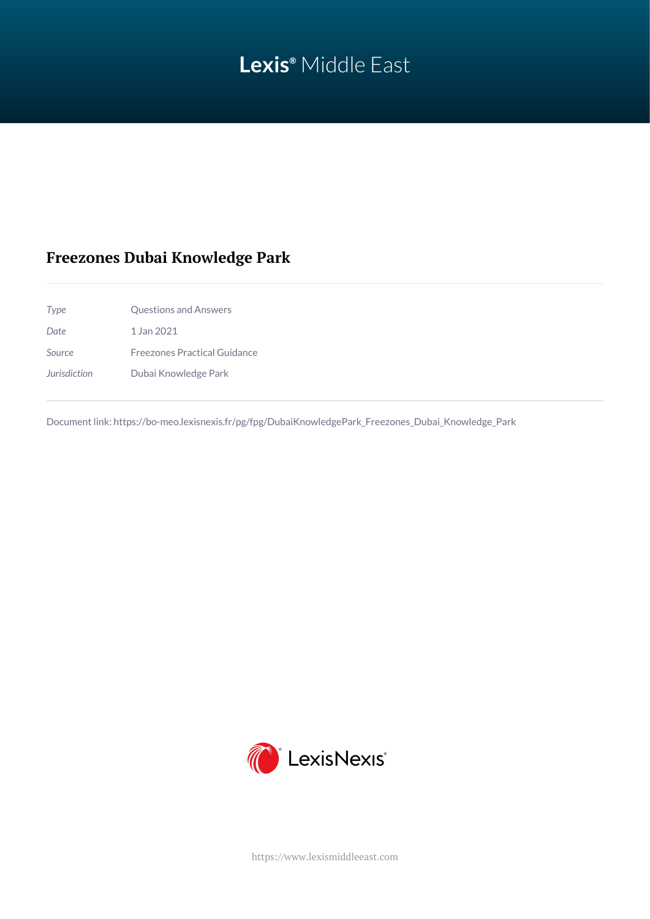# **Lexis®** Middle East

# **Freezones Dubai Knowledge Park**

*Type* Questions and Answers *Date* 1 Jan 2021 *Source* Freezones Practical Guidance *Jurisdiction* Dubai Knowledge Park

Document link: [https://bo-meo.lexisnexis.fr/pg/fpg/DubaiKnowledgePark\\_Freezones\\_Dubai\\_Knowledge\\_Park](https://bo-meo.lexisnexis.fr/pg/fpg/DubaiKnowledgePark_Freezones_Dubai_Knowledge_Park)



<https://www.lexismiddleeast.com>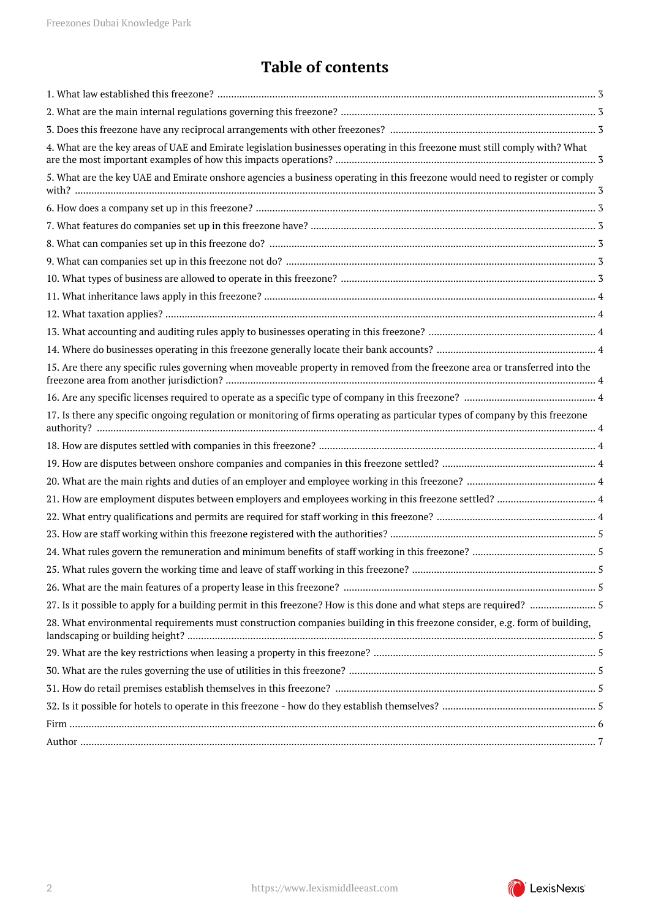# **Table of contents**

| 4. What are the key areas of UAE and Emirate legislation businesses operating in this freezone must still comply with? What   |
|-------------------------------------------------------------------------------------------------------------------------------|
| 5. What are the key UAE and Emirate onshore agencies a business operating in this freezone would need to register or comply   |
|                                                                                                                               |
|                                                                                                                               |
|                                                                                                                               |
|                                                                                                                               |
|                                                                                                                               |
|                                                                                                                               |
|                                                                                                                               |
|                                                                                                                               |
|                                                                                                                               |
| 15. Are there any specific rules governing when moveable property in removed from the freezone area or transferred into the   |
|                                                                                                                               |
| 17. Is there any specific ongoing regulation or monitoring of firms operating as particular types of company by this freezone |
|                                                                                                                               |
|                                                                                                                               |
|                                                                                                                               |
|                                                                                                                               |
|                                                                                                                               |
|                                                                                                                               |
|                                                                                                                               |
|                                                                                                                               |
|                                                                                                                               |
| 27. Is it possible to apply for a building permit in this freezone? How is this done and what steps are required?  5          |
| 28. What environmental requirements must construction companies building in this freezone consider, e.g. form of building,    |
|                                                                                                                               |
|                                                                                                                               |
|                                                                                                                               |
|                                                                                                                               |
|                                                                                                                               |
|                                                                                                                               |

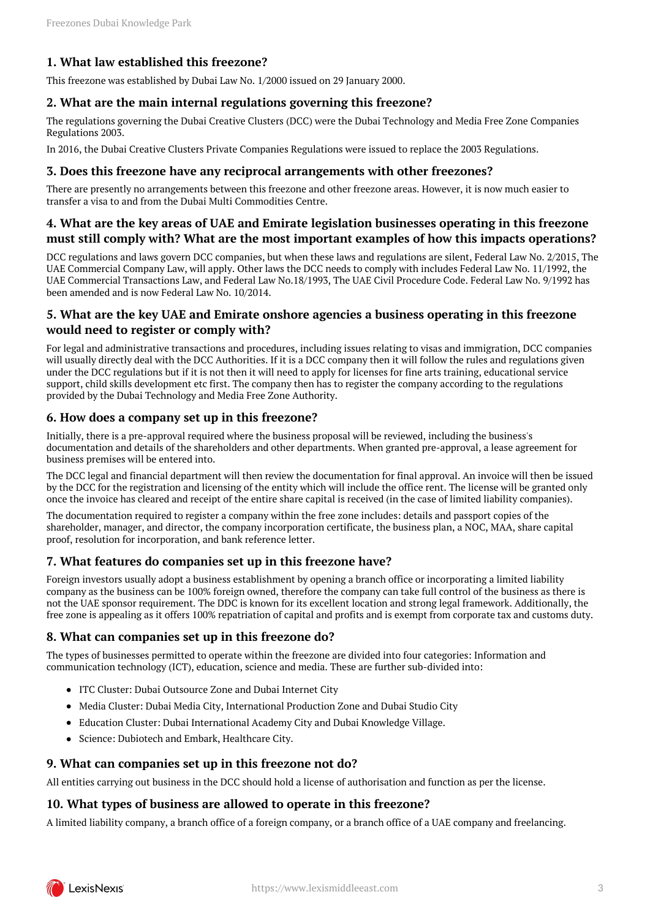# <span id="page-2-0"></span>**1. What law established this freezone?**

This freezone was established by Dubai Law No. 1/2000 issued on 29 January 2000.

#### <span id="page-2-1"></span>**2. What are the main internal regulations governing this freezone?**

The regulations governing the Dubai Creative Clusters (DCC) were the Dubai Technology and Media Free Zone Companies Regulations 2003.

In 2016, the Dubai Creative Clusters Private Companies Regulations were issued to replace the 2003 Regulations.

#### <span id="page-2-2"></span>**3. Does this freezone have any reciprocal arrangements with other freezones?**

There are presently no arrangements between this freezone and other freezone areas. However, it is now much easier to transfer a visa to and from the Dubai Multi Commodities Centre.

### <span id="page-2-3"></span>**4. What are the key areas of UAE and Emirate legislation businesses operating in this freezone must still comply with? What are the most important examples of how this impacts operations?**

DCC regulations and laws govern DCC companies, but when these laws and regulations are silent, Federal Law No. 2/2015, The UAE Commercial Company Law, will apply. Other laws the DCC needs to comply with includes Federal Law No. 11/1992, the UAE Commercial Transactions Law, and Federal Law No.18/1993, The UAE Civil Procedure Code. Federal Law No. 9/1992 has been amended and is now Federal Law No. 10/2014.

# <span id="page-2-4"></span>**5. What are the key UAE and Emirate onshore agencies a business operating in this freezone would need to register or comply with?**

For legal and administrative transactions and procedures, including issues relating to visas and immigration, DCC companies will usually directly deal with the DCC Authorities. If it is a DCC company then it will follow the rules and regulations given under the DCC regulations but if it is not then it will need to apply for licenses for fine arts training, educational service support, child skills development etc first. The company then has to register the company according to the regulations provided by the Dubai Technology and Media Free Zone Authority.

#### <span id="page-2-5"></span>**6. How does a company set up in this freezone?**

Initially, there is a pre-approval required where the business proposal will be reviewed, including the business's documentation and details of the shareholders and other departments. When granted pre-approval, a lease agreement for business premises will be entered into.

The DCC legal and financial department will then review the documentation for final approval. An invoice will then be issued by the DCC for the registration and licensing of the entity which will include the office rent. The license will be granted only once the invoice has cleared and receipt of the entire share capital is received (in the case of limited liability companies).

The documentation required to register a company within the free zone includes: details and passport copies of the shareholder, manager, and director, the company incorporation certificate, the business plan, a NOC, MAA, share capital proof, resolution for incorporation, and bank reference letter.

# <span id="page-2-6"></span>**7. What features do companies set up in this freezone have?**

Foreign investors usually adopt a business establishment by opening a branch office or incorporating a limited liability company as the business can be 100% foreign owned, therefore the company can take full control of the business as there is not the UAE sponsor requirement. The DDC is known for its excellent location and strong legal framework. Additionally, the free zone is appealing as it offers 100% repatriation of capital and profits and is exempt from corporate tax and customs duty.

# <span id="page-2-7"></span>**8. What can companies set up in this freezone do?**

The types of businesses permitted to operate within the freezone are divided into four categories: Information and communication technology (ICT), education, science and media. These are further sub-divided into:

- ITC Cluster: Dubai Outsource Zone and Dubai Internet City
- Media Cluster: Dubai Media City, International Production Zone and Dubai Studio City
- Education Cluster: Dubai International Academy City and Dubai Knowledge Village.
- Science: Dubiotech and Embark, Healthcare City.

#### <span id="page-2-8"></span>**9. What can companies set up in this freezone not do?**

All entities carrying out business in the DCC should hold a license of authorisation and function as per the license.

#### <span id="page-2-9"></span>**10. What types of business are allowed to operate in this freezone?**

A limited liability company, a branch office of a foreign company, or a branch office of a UAE company and freelancing.

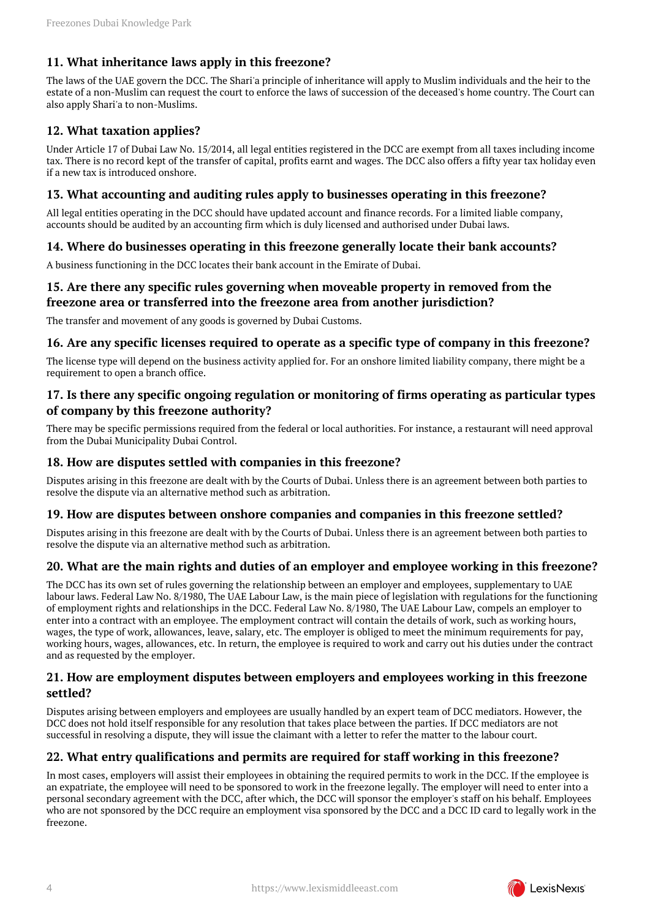# <span id="page-3-0"></span>**11. What inheritance laws apply in this freezone?**

The laws of the UAE govern the DCC. The Shari'a principle of inheritance will apply to Muslim individuals and the heir to the estate of a non-Muslim can request the court to enforce the laws of succession of the deceased's home country. The Court can also apply Shari'a to non-Muslims.

# <span id="page-3-1"></span>**12. What taxation applies?**

Under Article 17 of Dubai Law No. 15/2014, all legal entities registered in the DCC are exempt from all taxes including income tax. There is no record kept of the transfer of capital, profits earnt and wages. The DCC also offers a fifty year tax holiday even if a new tax is introduced onshore.

#### <span id="page-3-2"></span>**13. What accounting and auditing rules apply to businesses operating in this freezone?**

All legal entities operating in the DCC should have updated account and finance records. For a limited liable company, accounts should be audited by an accounting firm which is duly licensed and authorised under Dubai laws.

# <span id="page-3-3"></span>**14. Where do businesses operating in this freezone generally locate their bank accounts?**

A business functioning in the DCC locates their bank account in the Emirate of Dubai.

# <span id="page-3-4"></span>**15. Are there any specific rules governing when moveable property in removed from the freezone area or transferred into the freezone area from another jurisdiction?**

The transfer and movement of any goods is governed by Dubai Customs.

#### <span id="page-3-5"></span>**16. Are any specific licenses required to operate as a specific type of company in this freezone?**

The license type will depend on the business activity applied for. For an onshore limited liability company, there might be a requirement to open a branch office.

# <span id="page-3-6"></span>**17. Is there any specific ongoing regulation or monitoring of firms operating as particular types of company by this freezone authority?**

There may be specific permissions required from the federal or local authorities. For instance, a restaurant will need approval from the Dubai Municipality Dubai Control.

### <span id="page-3-7"></span>**18. How are disputes settled with companies in this freezone?**

Disputes arising in this freezone are dealt with by the Courts of Dubai. Unless there is an agreement between both parties to resolve the dispute via an alternative method such as arbitration.

#### <span id="page-3-8"></span>**19. How are disputes between onshore companies and companies in this freezone settled?**

Disputes arising in this freezone are dealt with by the Courts of Dubai. Unless there is an agreement between both parties to resolve the dispute via an alternative method such as arbitration.

# <span id="page-3-9"></span>**20. What are the main rights and duties of an employer and employee working in this freezone?**

The DCC has its own set of rules governing the relationship between an employer and employees, supplementary to UAE labour laws. Federal Law No. 8/1980, The UAE Labour Law, is the main piece of legislation with regulations for the functioning of employment rights and relationships in the DCC. Federal Law No. 8/1980, The UAE Labour Law, compels an employer to enter into a contract with an employee. The employment contract will contain the details of work, such as working hours, wages, the type of work, allowances, leave, salary, etc. The employer is obliged to meet the minimum requirements for pay, working hours, wages, allowances, etc. In return, the employee is required to work and carry out his duties under the contract and as requested by the employer.

#### <span id="page-3-10"></span>**21. How are employment disputes between employers and employees working in this freezone settled?**

Disputes arising between employers and employees are usually handled by an expert team of DCC mediators. However, the DCC does not hold itself responsible for any resolution that takes place between the parties. If DCC mediators are not successful in resolving a dispute, they will issue the claimant with a letter to refer the matter to the labour court.

# <span id="page-3-11"></span>**22. What entry qualifications and permits are required for staff working in this freezone?**

In most cases, employers will assist their employees in obtaining the required permits to work in the DCC. If the employee is an expatriate, the employee will need to be sponsored to work in the freezone legally. The employer will need to enter into a personal secondary agreement with the DCC, after which, the DCC will sponsor the employer's staff on his behalf. Employees who are not sponsored by the DCC require an employment visa sponsored by the DCC and a DCC ID card to legally work in the freezone.

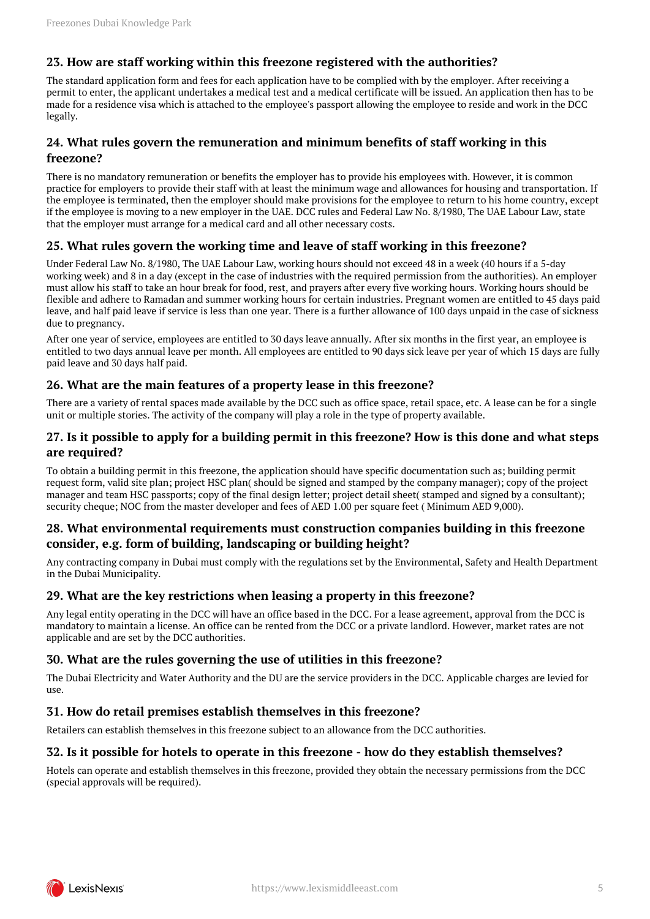# <span id="page-4-0"></span>**23. How are staff working within this freezone registered with the authorities?**

The standard application form and fees for each application have to be complied with by the employer. After receiving a permit to enter, the applicant undertakes a medical test and a medical certificate will be issued. An application then has to be made for a residence visa which is attached to the employee's passport allowing the employee to reside and work in the DCC legally.

# <span id="page-4-1"></span>**24. What rules govern the remuneration and minimum benefits of staff working in this freezone?**

There is no mandatory remuneration or benefits the employer has to provide his employees with. However, it is common practice for employers to provide their staff with at least the minimum wage and allowances for housing and transportation. If the employee is terminated, then the employer should make provisions for the employee to return to his home country, except if the employee is moving to a new employer in the UAE. DCC rules and Federal Law No. 8/1980, The UAE Labour Law, state that the employer must arrange for a medical card and all other necessary costs.

#### <span id="page-4-2"></span>**25. What rules govern the working time and leave of staff working in this freezone?**

Under Federal Law No. 8/1980, The UAE Labour Law, working hours should not exceed 48 in a week (40 hours if a 5-day working week) and 8 in a day (except in the case of industries with the required permission from the authorities). An employer must allow his staff to take an hour break for food, rest, and prayers after every five working hours. Working hours should be flexible and adhere to Ramadan and summer working hours for certain industries. Pregnant women are entitled to 45 days paid leave, and half paid leave if service is less than one year. There is a further allowance of 100 days unpaid in the case of sickness due to pregnancy.

After one year of service, employees are entitled to 30 days leave annually. After six months in the first year, an employee is entitled to two days annual leave per month. All employees are entitled to 90 days sick leave per year of which 15 days are fully paid leave and 30 days half paid.

# <span id="page-4-3"></span>**26. What are the main features of a property lease in this freezone?**

There are a variety of rental spaces made available by the DCC such as office space, retail space, etc. A lease can be for a single unit or multiple stories. The activity of the company will play a role in the type of property available.

#### <span id="page-4-4"></span>**27. Is it possible to apply for a building permit in this freezone? How is this done and what steps are required?**

To obtain a building permit in this freezone, the application should have specific documentation such as; building permit request form, valid site plan; project HSC plan( should be signed and stamped by the company manager); copy of the project manager and team HSC passports; copy of the final design letter; project detail sheet( stamped and signed by a consultant); security cheque; NOC from the master developer and fees of AED 1.00 per square feet ( Minimum AED 9,000).

#### <span id="page-4-5"></span>**28. What environmental requirements must construction companies building in this freezone consider, e.g. form of building, landscaping or building height?**

Any contracting company in Dubai must comply with the regulations set by the Environmental, Safety and Health Department in the Dubai Municipality.

#### <span id="page-4-6"></span>**29. What are the key restrictions when leasing a property in this freezone?**

Any legal entity operating in the DCC will have an office based in the DCC. For a lease agreement, approval from the DCC is mandatory to maintain a license. An office can be rented from the DCC or a private landlord. However, market rates are not applicable and are set by the DCC authorities.

# <span id="page-4-7"></span>**30. What are the rules governing the use of utilities in this freezone?**

The Dubai Electricity and Water Authority and the DU are the service providers in the DCC. Applicable charges are levied for use.

#### <span id="page-4-8"></span>**31. How do retail premises establish themselves in this freezone?**

Retailers can establish themselves in this freezone subject to an allowance from the DCC authorities.

#### <span id="page-4-9"></span>**32. Is it possible for hotels to operate in this freezone - how do they establish themselves?**

Hotels can operate and establish themselves in this freezone, provided they obtain the necessary permissions from the DCC (special approvals will be required).

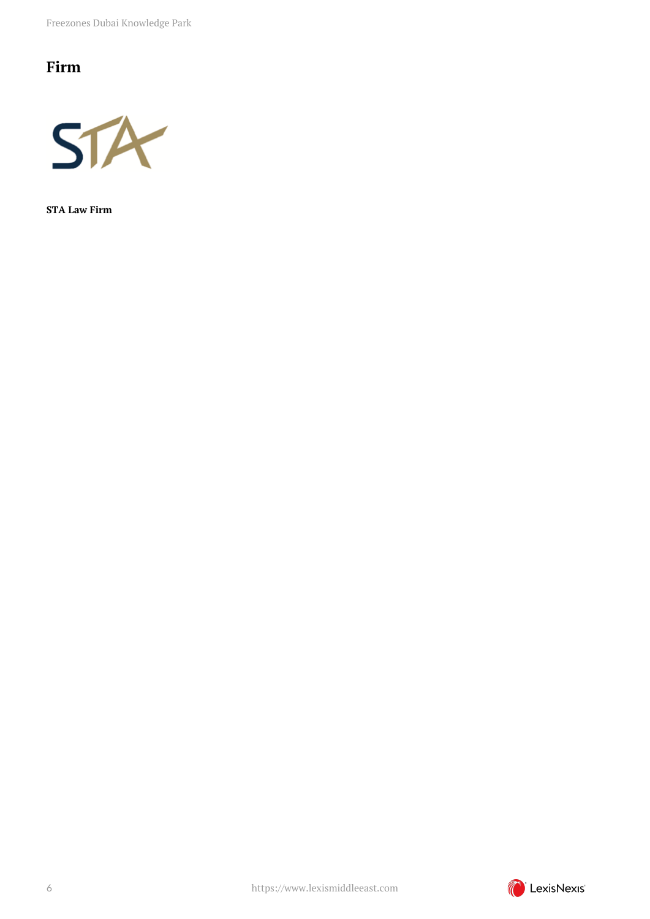Freezones Dubai Knowledge Park

# <span id="page-5-0"></span>**Firm**



**STA Law Firm**